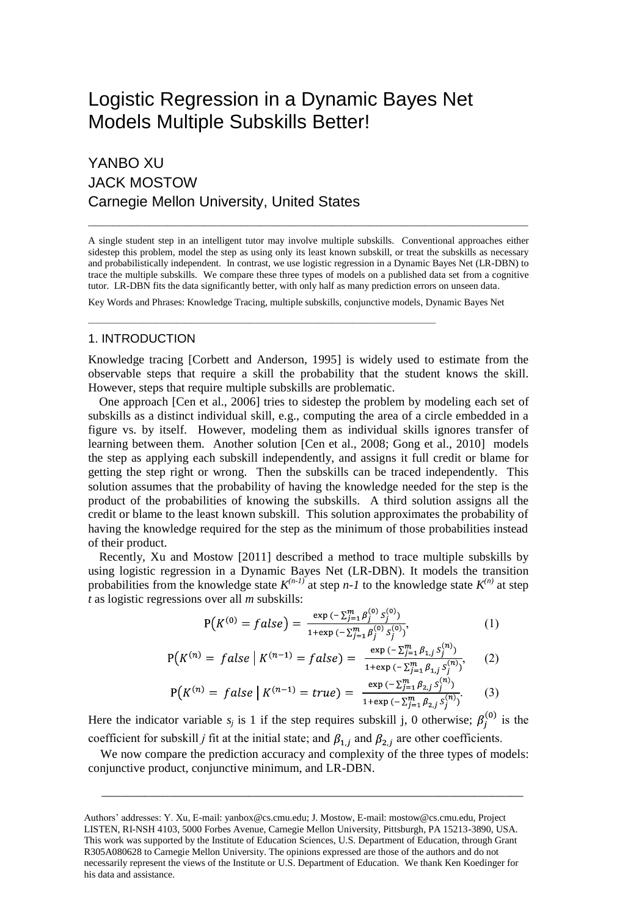# Logistic Regression in a Dynamic Bayes Net Models Multiple Subskills Better!

## YANBO XU JACK MOSTOW Carnegie Mellon University, United States

A single student step in an intelligent tutor may involve multiple subskills. Conventional approaches either sidestep this problem, model the step as using only its least known subskill, or treat the subskills as necessary and probabilistically independent. In contrast, we use logistic regression in a Dynamic Bayes Net (LR-DBN) to trace the multiple subskills. We compare these three types of models on a published data set from a cognitive tutor. LR-DBN fits the data significantly better, with only half as many prediction errors on unseen data.

 $\mathcal{L}_\mathcal{L} = \{ \mathcal{L}_\mathcal{L} = \{ \mathcal{L}_\mathcal{L} = \{ \mathcal{L}_\mathcal{L} = \{ \mathcal{L}_\mathcal{L} = \{ \mathcal{L}_\mathcal{L} = \{ \mathcal{L}_\mathcal{L} = \{ \mathcal{L}_\mathcal{L} = \{ \mathcal{L}_\mathcal{L} = \{ \mathcal{L}_\mathcal{L} = \{ \mathcal{L}_\mathcal{L} = \{ \mathcal{L}_\mathcal{L} = \{ \mathcal{L}_\mathcal{L} = \{ \mathcal{L}_\mathcal{L} = \{ \mathcal{L}_\mathcal{$ 

Key Words and Phrases: Knowledge Tracing, multiple subskills, conjunctive models, Dynamic Bayes Net

#### 1. INTRODUCTION

Knowledge tracing [\[Corbett and Anderson, 1995\]](#page-1-0) is widely used to estimate from the observable steps that require a skill the probability that the student knows the skill. However, steps that require multiple subskills are problematic.

One approach [\[Cen et al., 2006\]](#page-1-1) tries to sidestep the problem by modeling each set of subskills as a distinct individual skill, e.g., computing the area of a circle embedded in a figure vs. by itself. However, modeling them as individual skills ignores transfer of learning between them. Another solution [\[Cen et al., 2008;](#page-1-2) [Gong et al., 2010\]](#page-1-3) models the step as applying each subskill independently, and assigns it full credit or blame for getting the step right or wrong. Then the subskills can be traced independently. This solution assumes that the probability of having the knowledge needed for the step is the product of the probabilities of knowing the subskills. A third solution assigns all the credit or blame to the least known subskill. This solution approximates the probability of having the knowledge required for the step as the minimum of those probabilities instead of their product.

Recently, Xu and Mostow [\[2011\]](#page-1-4) described a method to trace multiple subskills by using logistic regression in a Dynamic Bayes Net (LR-DBN). It models the transition probabilities from the knowledge state  $K^{(n-1)}$  at step *n*-1 to the knowledge state  $K^{(n)}$  at step *t* as logistic regressions over all *m* subskills:

$$
P(K^{(0)} = false) = \frac{\exp\left(-\sum_{j=1}^{m} \beta_j^{(0)} s_j^{(0)}\right)}{1 + \exp\left(-\sum_{j=1}^{m} \beta_j^{(0)} s_j^{(0)}\right)},\tag{1}
$$

$$
P(K^{(n)} = false \mid K^{(n-1)} = false) = \frac{\exp(-\sum_{j=1}^{m} \beta_{1,j} S_j^{(n)})}{1 + \exp(-\sum_{j=1}^{m} \beta_{1,j} S_j^{(n)})},
$$
(2)  

$$
P(K^{(n)} = false \mid K^{(n-1)} = true) = \frac{\exp(-\sum_{j=1}^{m} \beta_{2,j} S_j^{(n)})}{1 + \exp(-\sum_{j=1}^{m} \beta_{2,j} S_j^{(n)})}.
$$
 (3)

Here the indicator variable  $s_j$  is 1 if the step requires subskill j, 0 otherwise;  $\beta_j^{(0)}$  is the coefficient for subskill *j* fit at the initial state; and  $\beta_{1,j}$  and  $\beta_{2,j}$  are other coefficients.

 We now compare the prediction accuracy and complexity of the three types of models: conjunctive product, conjunctive minimum, and LR-DBN.

\_\_\_\_\_\_\_\_\_\_\_\_\_\_\_\_\_\_\_\_\_\_\_\_\_\_\_\_\_\_\_\_\_\_\_\_\_\_\_\_\_\_\_\_\_\_\_\_\_\_\_\_\_\_\_\_\_\_\_\_\_\_\_\_\_\_\_\_\_

Authors' addresses: Y. Xu, E-mail[: yanbox@cs.cmu.edu;](mailto:yanbox@cs.cmu.edu) J. Mostow, E-mail: [mostow@cs.cmu.edu,](mailto:mostow@cs.cmu.edum) Project LISTEN, RI-NSH 4103, 5000 Forbes Avenue, Carnegie Mellon University, Pittsburgh, PA 15213-3890, USA. This work was supported by the Institute of Education Sciences, U.S. Department of Education, through Grant R305A080628 to Carnegie Mellon University. The opinions expressed are those of the authors and do not necessarily represent the views of the Institute or U.S. Department of Education. We thank Ken Koedinger for his data and assistance.